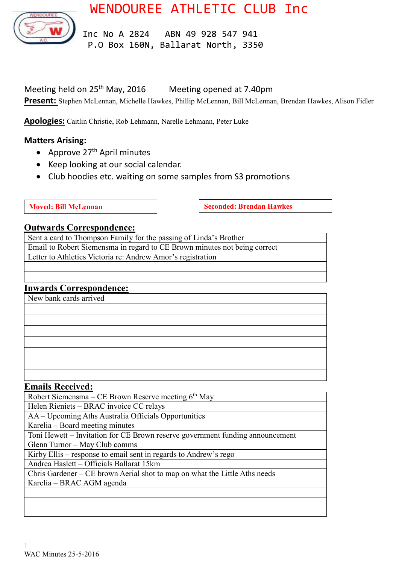



 Inc No A 2824 ABN 49 928 547 941 P.O Box 160N, Ballarat North, 3350

Meeting held on 25<sup>th</sup> May, 2016 Meeting opened at 7.40pm **Present:** Stephen McLennan, Michelle Hawkes, Phillip McLennan, Bill McLennan, Brendan Hawkes, Alison Fidler

**Apologies:** Caitlin Christie, Rob Lehmann, Narelle Lehmann, Peter Luke

### **Matters Arising:**

- Approve  $27<sup>th</sup>$  April minutes
- Keep looking at our social calendar.
- Club hoodies etc. waiting on some samples from S3 promotions
- 

**Moved: Bill McLennan Seconded: Brendan Hawkes** 

#### **Outwards Correspondence:**

Sent a card to Thompson Family for the passing of Linda's Brother Email to Robert Siemensma in regard to CE Brown minutes not being correct Letter to Athletics Victoria re: Andrew Amor's registration

# **Inwards Correspondence:**

New bank cards arrived

#### **Emails Received:**

Robert Siemensma – CE Brown Reserve meeting 6th May Helen Rieniets – BRAC invoice CC relays AA – Upcoming Aths Australia Officials Opportunities Karelia – Board meeting minutes Toni Hewett – Invitation for CE Brown reserve government funding announcement Glenn Turnor – May Club comms Kirby Ellis – response to email sent in regards to Andrew's rego Andrea Haslett – Officials Ballarat 15km Chris Gardener – CE brown Aerial shot to map on what the Little Aths needs Karelia – BRAC AGM agenda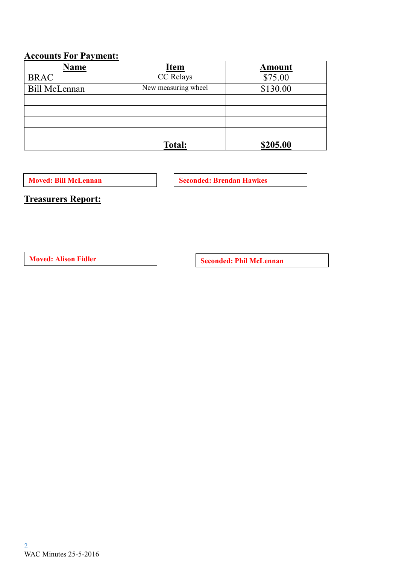# **Accounts For Payment:**

| <b>Name</b>          | <b>Item</b>         | Amount   |  |
|----------------------|---------------------|----------|--|
| <b>BRAC</b>          | CC Relays           | \$75.00  |  |
| <b>Bill McLennan</b> | New measuring wheel | \$130.00 |  |
|                      |                     |          |  |
|                      |                     |          |  |
|                      |                     |          |  |
|                      |                     |          |  |
|                      | <b>Total:</b>       | \$205.00 |  |

**Moved: Bill McLennan Seconded: Brendan Hawkes** 

**Treasurers Report:**

**Moved:** Alison Fidler **Seconded:** Phil McLennan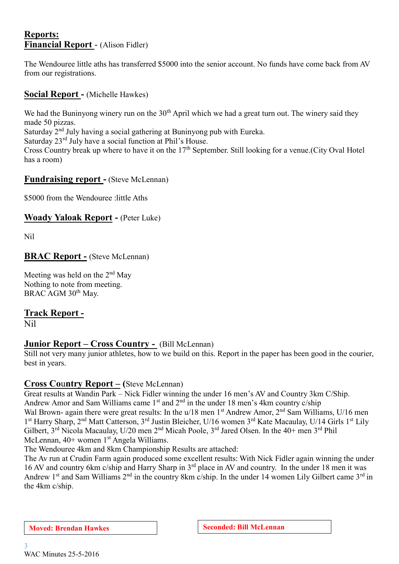### **Reports: Financial Report** - (Alison Fidler)

The Wendouree little aths has transferred \$5000 into the senior account. No funds have come back from AV from our registrations.

**Social Report -** (Michelle Hawkes)

We had the Buninyong winery run on the  $30<sup>th</sup>$  April which we had a great turn out. The winery said they made 50 pizzas.

Saturday 2nd July having a social gathering at Buninyong pub with Eureka.

Saturday 23<sup>rd</sup> July have a social function at Phil's House.

Cross Country break up where to have it on the  $17<sup>th</sup>$  September. Still looking for a venue. (City Oval Hotel has a room)

# **Fundraising report -** (Steve McLennan)

\$5000 from the Wendouree :little Aths

# **Woady Yaloak Report -** (Peter Luke)

Nil

### **BRAC Report -** (Steve McLennan)

Meeting was held on the 2<sup>nd</sup> May Nothing to note from meeting. BRAC AGM 30<sup>th</sup> May.

# **Track Report -**

Nil

# **Junior Report – Cross Country -** (Bill McLennan)

Still not very many junior athletes, how to we build on this. Report in the paper has been good in the courier, best in years.

# **Cross Co**u**ntry Report – (**Steve McLennan)

Great results at Wandin Park – Nick Fidler winning the under 16 men's AV and Country 3km C/Ship. Andrew Amor and Sam Williams came  $1<sup>st</sup>$  and  $2<sup>nd</sup>$  in the under 18 men's 4km country c/ship Wal Brown- again there were great results: In the u/18 men 1<sup>st</sup> Andrew Amor, 2<sup>nd</sup> Sam Williams, U/16 men 1<sup>st</sup> Harry Sharp, 2<sup>nd</sup> Matt Catterson, 3<sup>rd</sup> Justin Bleicher, U/16 women 3<sup>rd</sup> Kate Macaulay, U/14 Girls 1<sup>st</sup> Lily Gilbert, 3rd Nicola Macaulay, U/20 men 2nd Micah Poole, 3rd Jared Olsen. In the 40+ men 3rd Phil McLennan,  $40+$  women  $1<sup>st</sup>$  Angela Williams.

The Wendouree 4km and 8km Championship Results are attached:

The Av run at Crudin Farm again produced some excellent results: With Nick Fidler again winning the under 16 AV and country 6km c/ship and Harry Sharp in 3rd place in AV and country. In the under 18 men it was Andrew 1<sup>st</sup> and Sam Williams 2<sup>nd</sup> in the country 8km c/ship. In the under 14 women Lily Gilbert came 3<sup>rd</sup> in the 4km c/ship.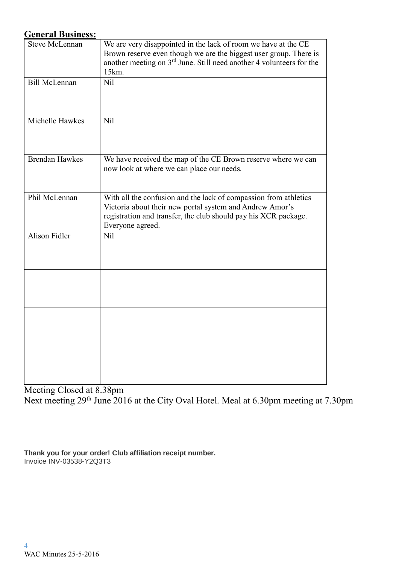## **General Business:**

| <b>Steve McLennan</b> | We are very disappointed in the lack of room we have at the CE<br>Brown reserve even though we are the biggest user group. There is<br>another meeting on 3 <sup>rd</sup> June. Still need another 4 volunteers for the<br>15km. |
|-----------------------|----------------------------------------------------------------------------------------------------------------------------------------------------------------------------------------------------------------------------------|
| <b>Bill McLennan</b>  | Nil                                                                                                                                                                                                                              |
| Michelle Hawkes       | Nil                                                                                                                                                                                                                              |
| <b>Brendan Hawkes</b> | We have received the map of the CE Brown reserve where we can<br>now look at where we can place our needs.                                                                                                                       |
| Phil McLennan         | With all the confusion and the lack of compassion from athletics<br>Victoria about their new portal system and Andrew Amor's<br>registration and transfer, the club should pay his XCR package.<br>Everyone agreed.              |
| Alison Fidler         | Nil                                                                                                                                                                                                                              |
|                       |                                                                                                                                                                                                                                  |
|                       |                                                                                                                                                                                                                                  |
|                       |                                                                                                                                                                                                                                  |

Meeting Closed at 8.38pm Next meeting 29<sup>th</sup> June 2016 at the City Oval Hotel. Meal at 6.30pm meeting at 7.30pm

**Thank you for your order! Club affiliation receipt number.** Invoice INV-03538-Y2Q3T3